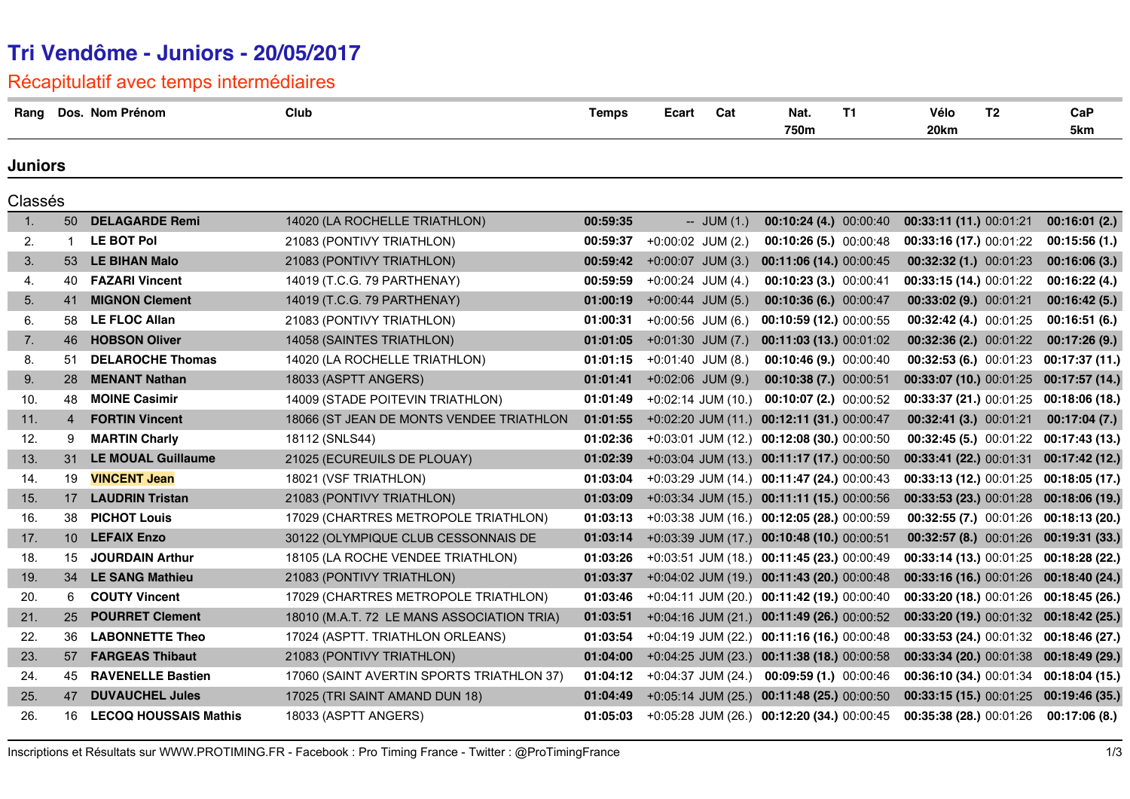## **Tri Vendôme - Juniors - 20/05/2017**

Récapitulatif avec temps intermédiaires

| Rang           |                | Dos. Nom Prénom              | Club                                       | <b>Temps</b> | Ecart                | Cat            | Nat.<br>750m                                 | <b>T1</b> | Vélo<br>20km               | T <sub>2</sub> | CaP<br>5km                             |
|----------------|----------------|------------------------------|--------------------------------------------|--------------|----------------------|----------------|----------------------------------------------|-----------|----------------------------|----------------|----------------------------------------|
| Juniors        |                |                              |                                            |              |                      |                |                                              |           |                            |                |                                        |
| Classés        |                |                              |                                            |              |                      |                |                                              |           |                            |                |                                        |
| $\mathbf{1}$ . | 50             | <b>DELAGARDE Remi</b>        | 14020 (LA ROCHELLE TRIATHLON)              | 00:59:35     |                      | $-$ JUM $(1.)$ | 00:10:24 (4.) 00:00:40                       |           | 00:33:11 (11.) 00:01:21    |                | 00:16:01(2.)                           |
| 2.             | $\mathbf{1}$   | <b>LE BOT Pol</b>            | 21083 (PONTIVY TRIATHLON)                  | 00:59:37     | $+0:00:02$ JUM (2.)  |                | $00:10:26(5.)$ 00:00:48                      |           | $00:33:16(17.)$ $00:01:22$ |                | 00:15:56(1)                            |
| 3.             |                | 53 LE BIHAN Malo             | 21083 (PONTIVY TRIATHLON)                  | 00:59:42     | $+0:00:07$ JUM (3.)  |                | 00:11:06 (14.) 00:00:45                      |           | 00:32:32 (1.) 00:01:23     |                | 00:16:06(3.)                           |
| 4.             | 40             | <b>FAZARI Vincent</b>        | 14019 (T.C.G. 79 PARTHENAY)                | 00:59:59     | $+0.00:24$ JUM (4.)  |                | 00:10:23 (3.) 00:00:41                       |           | 00:33:15 (14.) 00:01:22    |                | 00:16:22(4.)                           |
| 5.             | 41             | <b>MIGNON Clement</b>        | 14019 (T.C.G. 79 PARTHENAY)                | 01:00:19     | $+0.00:44$ JUM (5.)  |                | 00:10:36 (6.) 00:00:47                       |           | 00:33:02 (9.) 00:01:21     |                | 00:16:42(5.)                           |
| 6.             | 58             | <b>LE FLOC Allan</b>         | 21083 (PONTIVY TRIATHLON)                  | 01:00:31     | $+0:00:56$ JUM (6.)  |                | 00:10:59 (12.) 00:00:55                      |           | 00:32:42 (4.) 00:01:25     |                | 00:16:51(6.)                           |
| 7.             | 46             | <b>HOBSON Oliver</b>         | 14058 (SAINTES TRIATHLON)                  | 01:01:05     | $+0:01:30$ JUM (7.)  |                | 00:11:03 (13.) 00:01:02                      |           | 00:32:36 (2.) 00:01:22     |                | 00:17:26(9.)                           |
| 8.             | 51             | <b>DELAROCHE Thomas</b>      | 14020 (LA ROCHELLE TRIATHLON)              | 01:01:15     | $+0.01:40$ JUM (8.)  |                | $00:10:46(9.)$ $00:00:40$                    |           |                            |                | 00:32:53 (6.) 00:01:23 00:17:37 (11.)  |
| 9.             | 28             | <b>MENANT Nathan</b>         | 18033 (ASPTT ANGERS)                       | 01:01:41     | $+0:02:06$ JUM (9.)  |                | 00:10:38 (7.) 00:00:51                       |           |                            |                | 00:33:07 (10.) 00:01:25 00:17:57 (14.) |
| 10.            | 48             | <b>MOINE Casimir</b>         | 14009 (STADE POITEVIN TRIATHLON)           | 01:01:49     | $+0:02:14$ JUM (10.) |                | $00:10:07(2.)$ 00:00:52                      |           |                            |                | 00:33:37 (21.) 00:01:25 00:18:06 (18.) |
| 11.            | $\overline{4}$ | <b>FORTIN Vincent</b>        | 18066 (ST JEAN DE MONTS VENDEE TRIATHLON   | 01:01:55     |                      |                | +0:02:20 JUM (11.) 00:12:11 (31.) 00:00:47   |           | 00:32:41 (3.) 00:01:21     |                | 00:17:04(7.)                           |
| 12.            | 9              | <b>MARTIN Charly</b>         | 18112 (SNLS44)                             | 01:02:36     |                      |                | $+0.03.01$ JUM (12.) 00:12:08 (30.) 00:00:50 |           |                            |                | 00:32:45 (5.) 00:01:22 00:17:43 (13.)  |
| 13.            | 31             | <b>LE MOUAL Guillaume</b>    | 21025 (ECUREUILS DE PLOUAY)                | 01:02:39     |                      |                | +0:03:04 JUM (13.) 00:11:17 (17.) 00:00:50   |           |                            |                | 00:33:41 (22.) 00:01:31 00:17:42 (12.) |
| 14.            | 19             | <b>VINCENT Jean</b>          | 18021 (VSF TRIATHLON)                      | 01:03:04     |                      |                | $+0.03:29$ JUM (14.) 00:11:47 (24.) 00:00:43 |           |                            |                | 00:33:13 (12.) 00:01:25 00:18:05 (17.) |
| 15.            | 17             | <b>LAUDRIN Tristan</b>       | 21083 (PONTIVY TRIATHLON)                  | 01:03:09     |                      |                | +0:03:34 JUM (15.) 00:11:11 (15.) 00:00:56   |           |                            |                | 00:33:53 (23.) 00:01:28 00:18:06 (19.) |
| 16.            | 38             | <b>PICHOT Louis</b>          | 17029 (CHARTRES METROPOLE TRIATHLON)       | 01:03:13     |                      |                | $+0.03.38$ JUM (16.) 00:12:05 (28.) 00:00:59 |           |                            |                | 00:32:55 (7.) 00:01:26 00:18:13 (20.)  |
| 17.            | 10             | <b>LEFAIX Enzo</b>           | 30122 (OLYMPIQUE CLUB CESSONNAIS DE        | 01:03:14     |                      |                | +0:03:39 JUM (17.) 00:10:48 (10.) 00:00:51   |           |                            |                | 00:32:57 (8.) 00:01:26 00:19:31 (33.)  |
| 18.            | 15             | <b>JOURDAIN Arthur</b>       | 18105 (LA ROCHE VENDEE TRIATHLON)          | 01:03:26     |                      |                | $+0.03:51$ JUM (18.) 00:11:45 (23.) 00:00:49 |           |                            |                | 00:33:14 (13.) 00:01:25 00:18:28 (22.) |
| 19.            | 34             | <b>LE SANG Mathieu</b>       | 21083 (PONTIVY TRIATHLON)                  | 01:03:37     |                      |                | +0:04:02 JUM (19.) 00:11:43 (20.) 00:00:48   |           |                            |                | 00:33:16 (16.) 00:01:26 00:18:40 (24.) |
| 20.            | 6              | <b>COUTY Vincent</b>         | 17029 (CHARTRES METROPOLE TRIATHLON)       | 01:03:46     |                      |                | $+0.04:11$ JUM (20.) 00:11:42 (19.) 00:00:40 |           |                            |                | 00:33:20 (18.) 00:01:26 00:18:45 (26.) |
| 21.            | 25             | <b>POURRET Clement</b>       | 18010 (M.A.T. 72 LE MANS ASSOCIATION TRIA) | 01:03:51     |                      |                | +0:04:16 JUM (21.) 00:11:49 (26.) 00:00:52   |           |                            |                | 00:33:20 (19.) 00:01:32 00:18:42 (25.) |
| 22.            | 36             | <b>LABONNETTE Theo</b>       | 17024 (ASPTT. TRIATHLON ORLEANS)           | 01:03:54     |                      |                | +0:04:19 JUM (22.) 00:11:16 (16.) 00:00:48   |           |                            |                | 00:33:53 (24.) 00:01:32 00:18:46 (27.) |
| 23.            | 57             | <b>FARGEAS Thibaut</b>       | 21083 (PONTIVY TRIATHLON)                  | 01:04:00     |                      |                | $+0.04:25$ JUM (23.) 00:11:38 (18.) 00:00:58 |           |                            |                | 00:33:34 (20.) 00:01:38 00:18:49 (29.) |
| 24.            | 45             | <b>RAVENELLE Bastien</b>     | 17060 (SAINT AVERTIN SPORTS TRIATHLON 37)  | 01:04:12     |                      |                | $+0.04.37$ JUM (24.) 00:09:59 (1.) 00:00:46  |           |                            |                | 00:36:10 (34.) 00:01:34 00:18:04 (15.) |
| 25.            | 47             | <b>DUVAUCHEL Jules</b>       | 17025 (TRI SAINT AMAND DUN 18)             | 01:04:49     |                      |                | +0:05:14 JUM (25.) 00:11:48 (25.) 00:00:50   |           |                            |                | 00:33:15 (15.) 00:01:25 00:19:46 (35.) |
| 26.            | 16             | <b>LECOQ HOUSSAIS Mathis</b> | 18033 (ASPTT ANGERS)                       | 01:05:03     |                      |                | $+0.05:28$ JUM (26.) 00:12:20 (34.) 00:00:45 |           | 00:35:38 (28.) 00:01:26    |                | 00:17:06(8.)                           |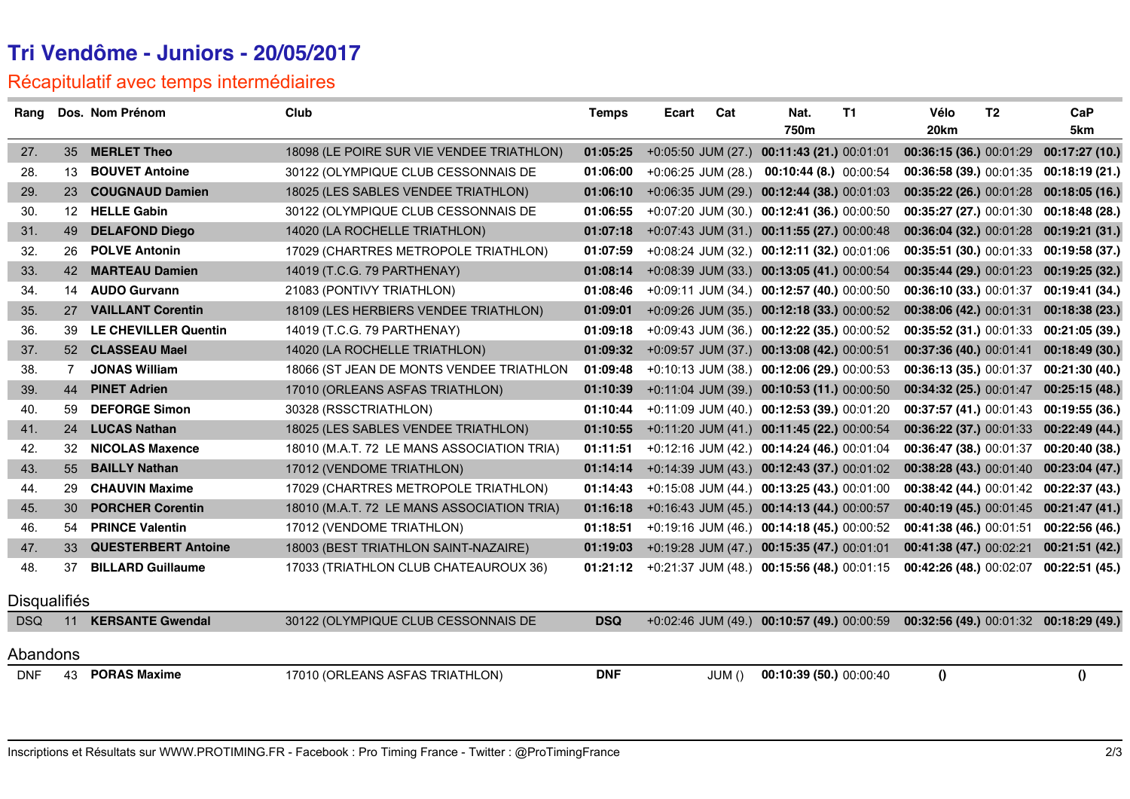## **Tri Vendôme - Juniors - 20/05/2017**

## Récapitulatif avec temps intermédiaires

| Rang                |                | Dos. Nom Prénom             | Club                                       | <b>Temps</b> | Ecart                | Cat   | Nat.                                         | <b>T1</b> | Vélo                    | T <sub>2</sub> | CaP                                    |
|---------------------|----------------|-----------------------------|--------------------------------------------|--------------|----------------------|-------|----------------------------------------------|-----------|-------------------------|----------------|----------------------------------------|
|                     |                |                             |                                            |              |                      |       | 750m                                         |           | 20 <sub>km</sub>        |                | 5km                                    |
| 27.                 | 35             | <b>MERLET Theo</b>          | 18098 (LE POIRE SUR VIE VENDEE TRIATHLON)  | 01:05:25     | $+0.05:50$ JUM (27.) |       | 00:11:43 (21.) 00:01:01                      |           | 00:36:15 (36.) 00:01:29 |                | 00:17:27(10.)                          |
| 28.                 | 13             | <b>BOUVET Antoine</b>       | 30122 (OLYMPIQUE CLUB CESSONNAIS DE        | 01:06:00     | +0:06:25 JUM (28.)   |       | $00:10:44(8.)$ 00:00:54                      |           | 00:36:58 (39.) 00:01:35 |                | 00:18:19 (21.)                         |
| 29.                 | 23             | <b>COUGNAUD Damien</b>      | 18025 (LES SABLES VENDEE TRIATHLON)        | 01:06:10     |                      |       | +0:06:35 JUM (29.) 00:12:44 (38.) 00:01:03   |           | 00:35:22 (26.) 00:01:28 |                | 00:18:05(16.)                          |
| 30.                 | 12             | <b>HELLE Gabin</b>          | 30122 (OLYMPIQUE CLUB CESSONNAIS DE        | 01:06:55     |                      |       | +0:07:20 JUM (30.) 00:12:41 (36.) 00:00:50   |           | 00:35:27 (27.) 00:01:30 |                | 00:18:48 (28.)                         |
| 31.                 | 49             | <b>DELAFOND Diego</b>       | 14020 (LA ROCHELLE TRIATHLON)              | 01:07:18     |                      |       | +0:07:43 JUM (31.) 00:11:55 (27.) 00:00:48   |           | 00:36:04 (32.) 00:01:28 |                | 00:19:21 (31.)                         |
| 32.                 | 26             | <b>POLVE Antonin</b>        | 17029 (CHARTRES METROPOLE TRIATHLON)       | 01:07:59     |                      |       | +0:08:24 JUM (32.) 00:12:11 (32.) 00:01:06   |           |                         |                | 00:35:51 (30.) 00:01:33 00:19:58 (37.) |
| 33.                 | 42.            | <b>MARTEAU Damien</b>       | 14019 (T.C.G. 79 PARTHENAY)                | 01:08:14     |                      |       | +0:08:39 JUM (33.) 00:13:05 (41.) 00:00:54   |           | 00:35:44 (29.) 00:01:23 |                | 00:19:25(32.)                          |
| 34.                 | 14             | <b>AUDO Gurvann</b>         | 21083 (PONTIVY TRIATHLON)                  | 01:08:46     |                      |       | +0:09:11 JUM (34.) 00:12:57 (40.) 00:00:50   |           | 00:36:10 (33.) 00:01:37 |                | 00:19:41 (34.)                         |
| 35.                 | 27             | <b>VAILLANT Corentin</b>    | 18109 (LES HERBIERS VENDEE TRIATHLON)      | 01:09:01     |                      |       | +0:09:26 JUM (35.) 00:12:18 (33.) 00:00:52   |           | 00:38:06 (42.) 00:01:31 |                | 00:18:38 (23.)                         |
| 36.                 | 39             | <b>LE CHEVILLER Quentin</b> | 14019 (T.C.G. 79 PARTHENAY)                | 01:09:18     |                      |       | +0:09:43 JUM (36.) 00:12:22 (35.) 00:00:52   |           | 00:35:52 (31.) 00:01:33 |                | 00:21:05 (39.)                         |
| 37.                 |                | 52 CLASSEAU Mael            | 14020 (LA ROCHELLE TRIATHLON)              | 01:09:32     |                      |       | +0:09:57 JUM (37.) 00:13:08 (42.) 00:00:51   |           | 00:37:36 (40.) 00:01:41 |                | 00:18:49(30.)                          |
| 38.                 | $\overline{7}$ | <b>JONAS William</b>        | 18066 (ST JEAN DE MONTS VENDEE TRIATHLON   | 01:09:48     |                      |       | +0:10:13 JUM (38.) 00:12:06 (29.) 00:00:53   |           | 00:36:13 (35.) 00:01:37 |                | 00:21:30 (40.)                         |
| 39.                 | 44             | <b>PINET Adrien</b>         | 17010 (ORLEANS ASFAS TRIATHLON)            | 01:10:39     |                      |       | $+0:11:04$ JUM (39.) 00:10:53 (11.) 00:00:50 |           | 00:34:32 (25.) 00:01:47 |                | 00:25:15(48.)                          |
| 40.                 | 59             | <b>DEFORGE Simon</b>        | 30328 (RSSCTRIATHLON)                      | 01:10:44     |                      |       | +0:11:09 JUM (40.) 00:12:53 (39.) 00:01:20   |           |                         |                | 00:37:57 (41.) 00:01:43 00:19:55 (36.) |
| 41.                 | 24             | <b>LUCAS Nathan</b>         | 18025 (LES SABLES VENDEE TRIATHLON)        | 01:10:55     |                      |       | +0:11:20 JUM (41.) 00:11:45 (22.) 00:00:54   |           | 00:36:22 (37.) 00:01:33 |                | 00:22:49 (44.)                         |
| 42.                 | 32             | <b>NICOLAS Maxence</b>      | 18010 (M.A.T. 72 LE MANS ASSOCIATION TRIA) | 01:11:51     |                      |       | +0:12:16 JUM (42.) 00:14:24 (46.) 00:01:04   |           | 00:36:47 (38.) 00:01:37 |                | 00:20:40 (38.)                         |
| 43.                 | 55             | <b>BAILLY Nathan</b>        | 17012 (VENDOME TRIATHLON)                  | 01:14:14     |                      |       | +0:14:39 JUM (43.) 00:12:43 (37.) 00:01:02   |           | 00:38:28 (43.) 00:01:40 |                | 00:23:04 (47.)                         |
| 44.                 | 29.            | <b>CHAUVIN Maxime</b>       | 17029 (CHARTRES METROPOLE TRIATHLON)       | 01:14:43     | $+0:15:08$ JUM (44.) |       | 00:13:25 (43.) 00:01:00                      |           | 00:38:42 (44.) 00:01:42 |                | 00:22:37 (43.)                         |
| 45.                 | 30             | <b>PORCHER Corentin</b>     | 18010 (M.A.T. 72 LE MANS ASSOCIATION TRIA) | 01:16:18     |                      |       | +0:16:43 JUM (45.) 00:14:13 (44.) 00:00:57   |           | 00:40:19 (45.) 00:01:45 |                | 00:21:47(41.)                          |
| 46.                 | 54             | <b>PRINCE Valentin</b>      | 17012 (VENDOME TRIATHLON)                  | 01:18:51     |                      |       | $+0.19.16$ JUM (46.) 00:14:18 (45.) 00:00:52 |           | 00:41:38 (46.) 00:01:51 |                | 00:22:56 (46.)                         |
| 47.                 | 33             | <b>QUESTERBERT Antoine</b>  | 18003 (BEST TRIATHLON SAINT-NAZAIRE)       | 01:19:03     |                      |       | +0:19:28 JUM (47.) 00:15:35 (47.) 00:01:01   |           | 00:41:38 (47.) 00:02:21 |                | 00:21:51(42.)                          |
| 48.                 | 37             | <b>BILLARD Guillaume</b>    | 17033 (TRIATHLON CLUB CHATEAUROUX 36)      | 01:21:12     |                      |       | +0:21:37 JUM (48.) 00:15:56 (48.) 00:01:15   |           | 00:42:26 (48.) 00:02:07 |                | 00:22:51 (45.)                         |
| <b>Disqualifiés</b> |                |                             |                                            |              |                      |       |                                              |           |                         |                |                                        |
| <b>DSQ</b>          | 11             | <b>KERSANTE Gwendal</b>     | 30122 (OLYMPIQUE CLUB CESSONNAIS DE        | <b>DSQ</b>   |                      |       | +0:02:46 JUM (49.) 00:10:57 (49.) 00:00:59   |           |                         |                | 00:32:56 (49.) 00:01:32 00:18:29 (49.) |
| Abandons            |                |                             |                                            |              |                      |       |                                              |           |                         |                |                                        |
| <b>DNF</b>          | 43             | <b>PORAS Maxime</b>         | 17010 (ORLEANS ASFAS TRIATHLON)            | <b>DNF</b>   |                      | JUM() | 00:10:39 (50.) 00:00:40                      |           | $\bf{0}$                |                | $\mathbf 0$                            |